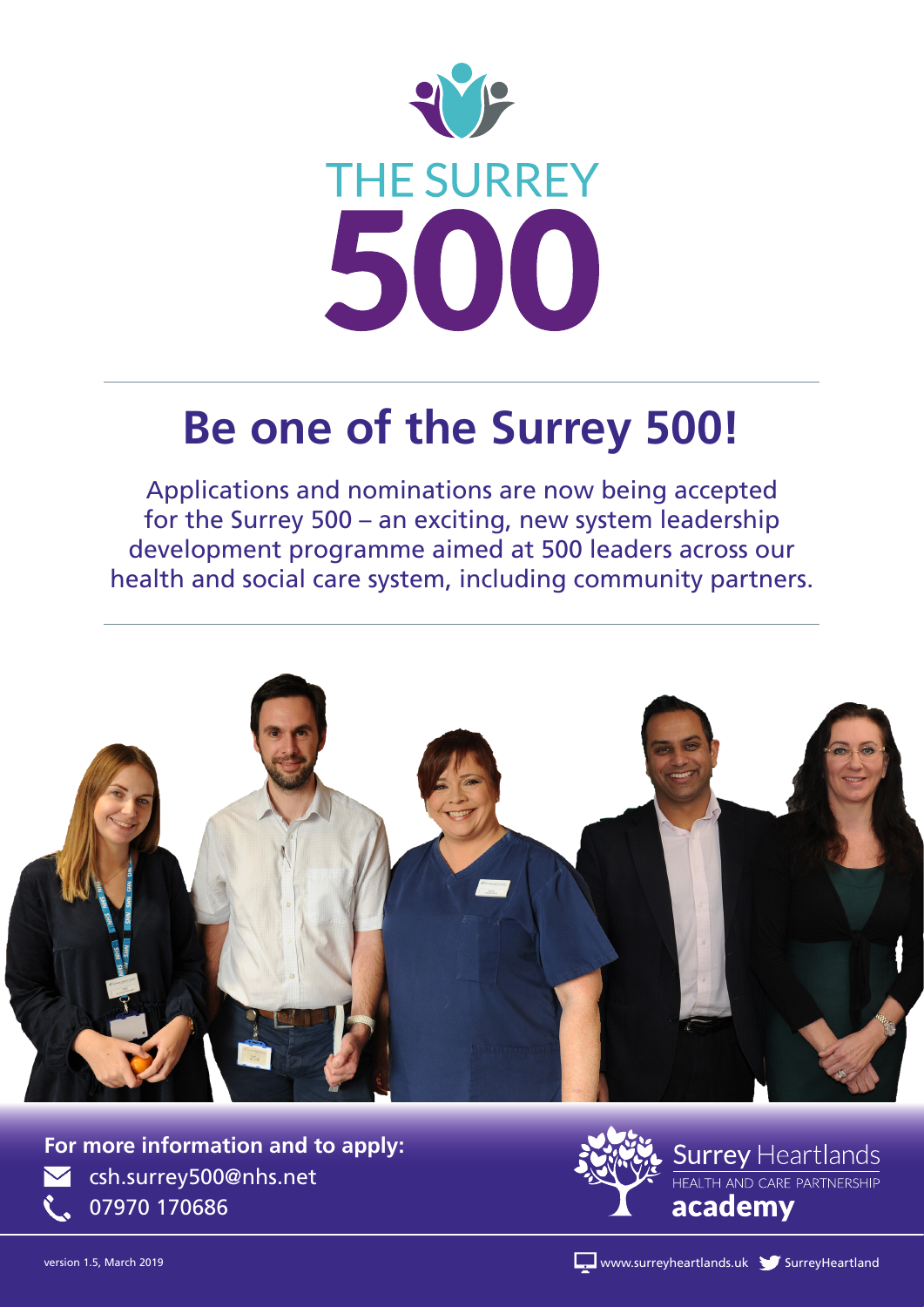

# **Be one of the Surrey 500!**

Applications and nominations are now being accepted for the Surrey 500 – an exciting, new system leadership development programme aimed at 500 leaders across our health and social care system, including community partners.



csh.surrey500@nhs.net 07970 170686 **For more information and to apply:**



version 1.5, March 2019 SurreyHeartlands.uk SurreyHeartlands.uk SurreyHeartlands.uk SurreyHeartland SurreyHeartland